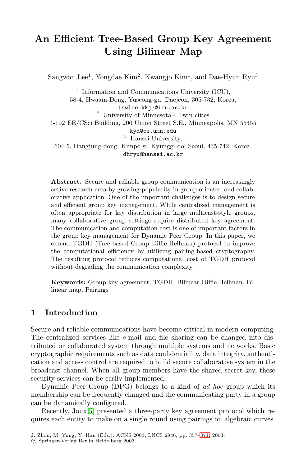# **An Efficient Tree-Based Group Key Agreement Using Bilinear Map**

Sangwon Lee<sup>1</sup>, Yongdae Kim<sup>2</sup>, Kwangjo Kim<sup>1</sup>, and Dae-Hyun Ryu<sup>3</sup>

 $1$  Information and Communications University (ICU), 58-4, Hwaam-Dong, Yuseong-gu, Daejeon, 305-732, Korea, {swlee,kkj}@icu.ac.kr <sup>2</sup> University of Minnesota - Twin cities 4-192 EE/CSci Building, 200 Union Street S.E., Minneapolis, MN 55455 kyd@cs.umn.edu <sup>3</sup> Hansei University, 604-5, Dangjung-dong, Kunpo-si, Kyunggi-do, Seoul, 435-742, Korea, dhryu@hansei.ac.kr

**Abstract.** Secure and reliable group communication is an increasingly active research area by growing popularity in group-oriented and collaborative application. One of the important challenges is to design secure and efficient group key management. While centralized management is often appropriate for key distribution in large multicast-style groups, many collaborative group settings require distributed key agreement. The communication and computation cost is one of important factors in the group key management for Dynamic Peer Group. In this paper, we extend TGDH (Tree-based Group Diffie-Hellman) protocol to improve the computational efficiency by utilizing pairing-based cryptography. The resulting protocol reduces computational cost of TGDH protocol without degrading the communication complexity.

**Keywords:** Group key agreement, TGDH, Bilinear Diffie-Hellman, Bilinear map, Pairings

### **1 Introduction**

Secure and reliable communications have become critical in modern computing. The centralized services like e-mail and file sharing can be changed into distributed or collaborated system through multiple systems and networks. Basic cryptographic requirements such as data confidentiality, data integrity, authentication and access control are required to build secure collaborative system in the broadcast channel. When all group members have the shared secret key, these security services can be easily implemented.

Dynamic Peer Group (DPG) belongs to a kind of *ad hoc* group which its membership can be frequently changed and the communicating party in a group can be dynamically configured.

Recently, Joux[\[5\]](#page-11-0) presented a three-party key agreement protocol which requires each entity to make on a single round using pairings on algebraic curves.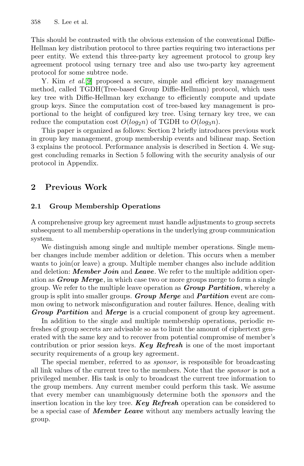This should be contrasted with the obvious extension of the conventional Diffie-Hellman key distribution protocol to three parties requiring two interactions per peer entity. We extend this three-party key agreement protocol to group key agreement protocol using ternary tree and also use two-party key agreement protocol for some subtree node.

Y. Kim *et al.*[\[9\]](#page-11-0) proposed a secure, simple and efficient key management method, called TGDH(Tree-based Group Diffie-Hellman) protocol, which uses key tree with Diffie-Hellman key exchange to efficiently compute and update group keys. Since the computation cost of tree-based key management is proportional to the height of configured key tree. Using ternary key tree, we can reduce the computation cost  $O(log_2n)$  of TGDH to  $O(log_3n)$ .

This paper is organized as follows: Section 2 briefly introduces previous work in group key management, group membership events and bilinear map. Section 3 explains the protocol. Performance analysis is described in Section 4. We suggest concluding remarks in Section 5 following with the security analysis of our protocol in Appendix.

### **2 Previous Work**

#### **2.1 Group Membership Operations**

A comprehensive group key agreement must handle adjustments to group secrets subsequent to all membership operations in the underlying group communication system.

We distinguish among single and multiple member operations. Single member changes include member addition or deletion. This occurs when a member wants to join(or leave) a group. Multiple member changes also include addition and deletion: *Member Join* and *Leave*. We refer to the multiple addition operation as *Group Merge*, in which case two or more groups merge to form a single group. We refer to the multiple leave operation as *Group Partition*, whereby a group is split into smaller groups. *Group Merge* and *Partition* event are common owing to network misconfiguration and router failures. Hence, dealing with *Group Partition* and *Merge* is a crucial component of group key agreement.

In addition to the single and multiple membership operations, periodic refreshes of group secrets are advisable so as to limit the amount of ciphertext generated with the same key and to recover from potential compromise of member's contribution or prior session keys. *Key Refresh* is one of the most important security requirements of a group key agreement.

The special member, referred to as *sponsor*, is responsible for broadcasting all link values of the current tree to the members. Note that the *sponsor* is not a privileged member. His task is only to broadcast the current tree information to the group members. Any current member could perform this task. We assume that every member can unambiguously determine both the *sponsors* and the insertion location in the key tree. *Key Refresh* operation can be considered to be a special case of *Member Leave* without any members actually leaving the group.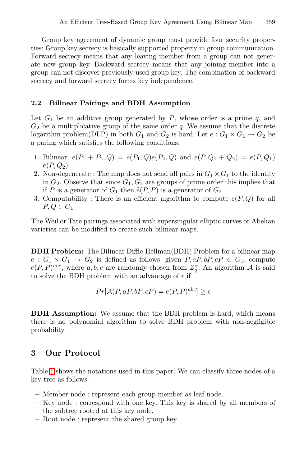Group key agreement of dynamic group must provide four security properties: Group key secrecy is basically supported property in group communication. Forward secrecy means that any leaving member from a group can not generate new group key. Backward secrecy means that any joining member into a group can not discover previously-used group key. The combination of backward secrecy and forward secrecy forms key independence.

#### **2.2 Bilinear Pairings and BDH Assumption**

Let  $G_1$  be an additive group generated by P, whose order is a prime  $q$ , and  $G_2$  be a multiplicative group of the same order q. We assume that the discrete logarithm problem(DLP) in both  $G_1$  and  $G_2$  is hard. Let  $e: G_1 \times G_1 \to G_2$  be a paring which satisfies the following conditions:

- 1. Bilinear:  $e(P_1 + P_2, Q) = e(P_1, Q)e(P_2, Q)$  and  $e(P, Q_1 + Q_2) = e(P, Q_1)$  $e(P,Q_2)$
- 2. Non-degenerate : The map does not send all pairs in  $G_1 \times G_1$  to the identity in  $G_2$ . Observe that since  $G_1, G_2$  are groups of prime order this implies that if P is a generator of  $G_1$  then  $\widehat{e}(P, P)$  is a generator of  $G_2$ .
- 3. Computability : There is an efficient algorithm to compute  $e(P,Q)$  for all  $P,Q \in G_1$

The Weil or Tate pairings associated with supersingular elliptic curves or Abelian varieties can be modified to create such bilinear maps.

**BDH Problem:** The Bilinear Diffie-Hellman(BDH) Problem for a bilinear map  $e: G_1 \times G_1 \rightarrow G_2$  is defined as follows: given  $P, aP, bP, cP \in G_1$ , compute  $e(P, P)^{abc}$ , where a, b, c are randomly chosen from  $Z_q^*$ . An algorithm A is said to solve the BDH problem with an advantage of  $\epsilon$  if

$$
Pr[\mathcal{A}(P, aP, bP, cP) = e(P, P)^{abc}] \ge \epsilon
$$

**BDH Assumption:** We assume that the BDH problem is hard, which means there is no polynomial algorithm to solve BDH problem with non-negligible probability.

### **3 Our Protocol**

Table [1](#page-3-0) shows the notations used in this paper. We can classify three nodes of a key tree as follows:

- **–** Member node : represent each group member as leaf node.
- **–** Key node : correspond with one key. This key is shared by all members of the subtree rooted at this key node.
- **–** Root node : represent the shared group key.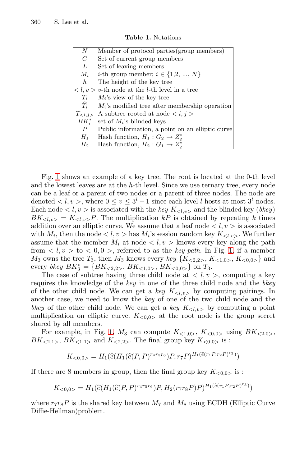<span id="page-3-0"></span>

| N               | Member of protocol parties (group members)                             |
|-----------------|------------------------------------------------------------------------|
| $\overline{C}$  | Set of current group members                                           |
| L               | Set of leaving members                                                 |
| $M_i$           | <i>i</i> -th group member; $i \in \{1,2, , N\}$                        |
| h               | The height of the key tree                                             |
|                 | $\langle l, v \rangle  v$ -th node at the <i>l</i> -th level in a tree |
| $T_i$           | $M_i$ 's view of the key tree                                          |
| $\widehat{T}_i$ | $M_i$ 's modified tree after membership operation                      |
| $T_{\leq i,j>}$ | A subtree rooted at node                                               |
| $BK^*$          | set of $M_i$ 's blinded keys                                           |
| $\overline{P}$  | Public information, a point on an elliptic curve                       |
| $H_1$           | Hash function, $H_1: G_2 \to Z_a^*$                                    |
| $H_2$           | Hash function, $H_2: G_1 \to Z^*_a$                                    |
|                 |                                                                        |

**Table 1.** Notations

Fig. [1](#page-4-0) shows an example of a key tree. The root is located at the 0-th level and the lowest leaves are at the  $h$ -th level. Since we use ternary tree, every node can be a leaf or a parent of two nodes or a parent of three nodes. The node are denoted  $\langle l, v \rangle$ , where  $0 \le v \le 3<sup>l</sup> - 1$  since each level l hosts at most  $3<sup>l</sup>$  nodes. Each node  $\langle l, v \rangle$  is associated with the *key*  $K_{\langle l, v \rangle}$  and the blinded key (*bkey*)  $BK_{\langle l,v\rangle} = K_{\langle l,v\rangle}P$ . The multiplication kP is obtained by repeating k times addition over an elliptic curve. We assume that a leaf node  $\langle l, v \rangle$  is associated with  $M_i$ , then the node  $\langle l, v \rangle$  has  $M_i$ 's session random key  $K_{\langle l, v \rangle}$ . We further assume that the member  $M_i$  at node  $\langle l, v \rangle$  knows every key along the path from  $\langle l, v \rangle$  to  $\langle 0, 0 \rangle$ , referred to as the *key-path*. In Fig. [1,](#page-4-0) if a member  $M_3$  owns the tree  $T_3$ , then  $M_3$  knows every *key*  $\{K_{\leq 2,2>}, K_{\leq 1,0>}$ ,  $K_{\leq 0,0>}$  and every *bkey*  $BK_3^* = \{BK_{<2,2>}, BK_{<1,0>}, BK_{<0,0>} \}$  on  $T_3$ .<br>The case of subtree having three child node at  $\lt l$  y

The case of subtree having three child node at  $\langle l, v \rangle$ , computing a key requires the knowledge of the *key* in one of the three child node and the *bkey* of the other child node. We can get a *key*  $K_{\langle l,v \rangle}$  by computing pairings. In another case, we need to know the *key* of one of the two child node and the *bkey* of the other child node. We can get a *key*  $K_{\langle l,v \rangle}$  by computing a point multiplication on elliptic curve.  $K_{\leq 0.0>}$  at the root node is the group secret shared by all members.

For example, in Fig. [1,](#page-4-0)  $M_3$  can compute  $K_{\langle 1,0 \rangle}$ ,  $K_{\langle 0,0 \rangle}$  using  $BK_{\langle 2,0 \rangle}$ ,  $BK_{\leq 2,1>}$ ,  $BK_{\leq 1,1>}$  and  $K_{\leq 2,2>}$ . The final group key  $K_{\leq 0,0>}$  is :

$$
K_{<0,0>} = H_1(\widehat{e}(H_1(\widehat{e}(P,P)^{r_4r_5r_6})P,r_7P)^{H_1(\widehat{e}(r_1P,r_2P)^{r_3})})
$$

If there are 8 members in group, then the final group key  $K_{\leq 0,0>}$  is :

$$
K_{<0,0>} = H_1(\widehat{e}(H_1(\widehat{e}(P,P)^{r_4r_5r_6})P, H_2(r_7r_8P)P)^{H_1(\widehat{e}(r_1P,r_2P)^{r_3})})
$$

where  $r_7r_8P$  is the shared key between  $M_7$  and  $M_8$  using ECDH (Elliptic Curve Diffie-Hellman)problem.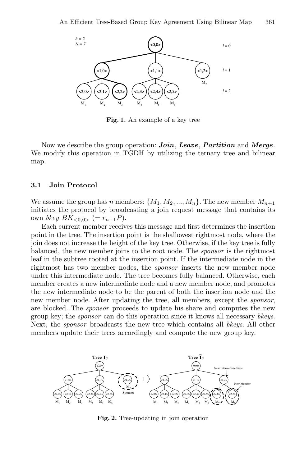<span id="page-4-0"></span>

**Fig. 1.** An example of a key tree

Now we describe the group operation: *Join*, *Leave*, *Partition* and *Merge*. We modify this operation in TGDH by utilizing the ternary tree and bilinear map.

#### **3.1 Join Protocol**

We assume the group has n members:  $\{M_1, M_2, ..., M_n\}$ . The new member  $M_{n+1}$ initiates the protocol by broadcasting a join request message that contains its own *bkey*  $BK_{\leq 0.0>}$  (=  $r_{n+1}P$ ).

Each current member receives this message and first determines the insertion point in the tree. The insertion point is the shallowest rightmost node, where the join does not increase the height of the key tree. Otherwise, if the key tree is fully balanced, the new member joins to the root node. The *sponsor* is the rightmost leaf in the subtree rooted at the insertion point. If the intermediate node in the rightmost has two member nodes, the *sponsor* inserts the new member node under this intermediate node. The tree becomes fully balanced. Otherwise, each member creates a new intermediate node and a new member node, and promotes the new intermediate node to be the parent of both the insertion node and the new member node. After updating the tree, all members, except the *sponsor*, are blocked. The *sponsor* proceeds to update his share and computes the new group key; the *sponsor* can do this operation since it knows all necessary *bkeys*. Next, the *sponsor* broadcasts the new tree which contains all *bkeys*. All other members update their trees accordingly and compute the new group key.



**Fig. 2.** Tree-updating in join operation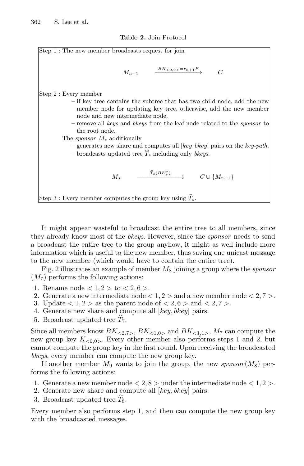**Table 2.** Join Protocol

| Step 1 : The new member broadcasts request for join                             |  |  |  |  |  |  |  |
|---------------------------------------------------------------------------------|--|--|--|--|--|--|--|
|                                                                                 |  |  |  |  |  |  |  |
|                                                                                 |  |  |  |  |  |  |  |
| $M_{n+1}$ $\xrightarrow{BK_{<0,0> = r_{n+1}P} C$                                |  |  |  |  |  |  |  |
|                                                                                 |  |  |  |  |  |  |  |
| Step 2 : Every member                                                           |  |  |  |  |  |  |  |
| - if key tree contains the subtree that has two child node, add the new         |  |  |  |  |  |  |  |
| member node for updating key tree. otherwise, add the new member                |  |  |  |  |  |  |  |
| node and new intermediate node,                                                 |  |  |  |  |  |  |  |
| - remove all keys and blogs from the leaf node related to the <i>sponsor</i> to |  |  |  |  |  |  |  |
| the root node.                                                                  |  |  |  |  |  |  |  |
| The <i>sponsor</i> $M_s$ additionally                                           |  |  |  |  |  |  |  |
| - generates new share and computes all $key, bkey$ pairs on the key-path,       |  |  |  |  |  |  |  |
| - broadcasts updated tree $\widehat{T}_s$ including only bkeys.                 |  |  |  |  |  |  |  |
|                                                                                 |  |  |  |  |  |  |  |
| $\xrightarrow{\widehat{T}_{s}(BK^{*}_{s})} C \cup \{M_{n+1}\}\$                 |  |  |  |  |  |  |  |
| $M_{\rm s}$                                                                     |  |  |  |  |  |  |  |
|                                                                                 |  |  |  |  |  |  |  |
| Step 3 : Every member computes the group key using $T_s$ .                      |  |  |  |  |  |  |  |

It might appear wasteful to broadcast the entire tree to all members, since they already know most of the *bkeys*. However, since the *sponsor* needs to send a broadcast the entire tree to the group anyhow, it might as well include more information which is useful to the new member, thus saving one unicast message to the new member (which would have to contain the entire tree).

Fig. 2 illustrates an example of member <sup>M</sup><sup>8</sup> joining a group where the *sponsor*  $(M<sub>7</sub>)$  performs the following actions:

- 1. Rename node  $< 1, 2 >$  to  $< 2, 6 >$ .
- 2. Generate a new intermediate node  $< 1, 2 >$  and a new member node  $< 2, 7 >$ .
- 3. Update  $\langle 1, 2 \rangle$  as the parent node of  $\langle 2, 6 \rangle$  and  $\langle 2, 7 \rangle$ .
- 4. Generate new share and compute all [key, bkey] pairs.
- 5. Broadcast updated tree  $T_7$ .

Since all members know  $BK_{\leq 2,7>}$ ,  $BK_{\leq 1,0>}$  and  $BK_{\leq 1,1>}$ ,  $M_7$  can compute the new group key  $K_{\leq 0.0>}$ . Every other member also performs steps 1 and 2, but cannot compute the group key in the first round. Upon receiving the broadcasted *bkeys*, every member can compute the new group key.

If another member  $M_9$  wants to join the group, the new *sponsor*  $(M_8)$  performs the following actions:

- 1. Generate a new member node  $< 2, 8 >$  under the intermediate node  $< 1, 2 >$ .
- 2. Generate new share and compute all  $[key, bkey]$  pairs.
- 3. Broadcast updated tree  $\hat{T}_8$ .

Every member also performs step 1, and then can compute the new group key with the broadcasted messages.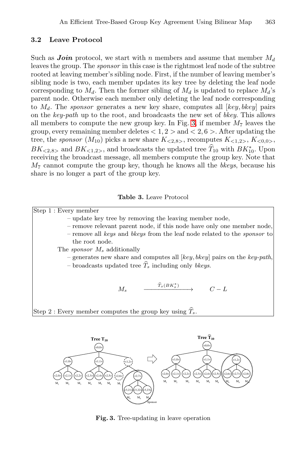#### <span id="page-6-0"></span>**3.2 Leave Protocol**

Such as *Join* protocol, we start with n members and assume that member  $M_d$ leaves the group. The *sponsor* in this case is the rightmost leaf node of the subtree rooted at leaving member's sibling node. First, if the number of leaving member's sibling node is two, each member updates its key tree by deleting the leaf node corresponding to  $M_d$ . Then the former sibling of  $M_d$  is updated to replace  $M_d$ 's parent node. Otherwise each member only deleting the leaf node corresponding to  $M_d$ . The *sponsor* generates a new key share, computes all  $[key, bkey]$  pairs on the *key-path* up to the root, and broadcasts the new set of *bkey*. This allows all members to compute the new group key. In Fig. 3, if member  $M_7$  leaves the group, every remaining member deletes  $< 1, 2 >$  and  $< 2, 6 >$ . After updating the tree, the *sponsor*  $(M_{10})$  picks a new share  $K_{\leq 2.8>}$ , recomputes  $K_{\leq 1.2>}$ ,  $K_{\leq 0.0>}$ ,  $BK_{\leq 2,8>}$  and  $BK_{\leq 1,2>}$ , and broadcasts the updated tree  $T_{10}$  with  $BK_{10}^*$ . Upon<br>receiving the broadcast message all members compute the group key. Note that receiving the broadcast message, all members compute the group key. Note that <sup>M</sup><sup>7</sup> cannot compute the group key, though he knows all the *bkeys*, because his share is no longer a part of the group key.

**Table 3.** Leave Protocol





**Fig. 3.** Tree-updating in leave operation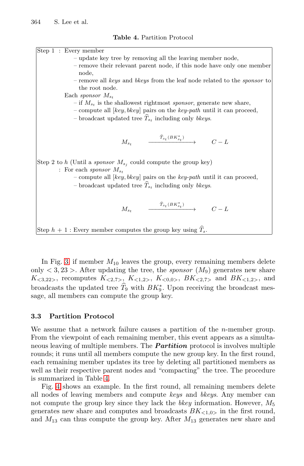

In Fig. [3,](#page-6-0) if member  $M_{10}$  leaves the group, every remaining members delete only  $\langle 3, 23 \rangle$ . After updating the tree, the *sponsor*  $(M_9)$  generates new share  $K_{<3,22>}$ , recomputes  $K_{<2,7>}$ ,  $K_{<1,2>}$ ,  $K_{<0,0>}$ ,  $BK_{<2,7>}$  and  $BK_{<1,2>}$ , and broadcasts the updated tree  $\hat{T}_9$  with  $BK_9^*$ . Upon receiving the broadcast message, all members can compute the group key.

#### **3.3 Partition Protocol**

We assume that a network failure causes a partition of the *n*-member group. From the viewpoint of each remaining member, this event appears as a simultaneous leaving of multiple members. The *Partition* protocol is involves multiple rounds; it runs until all members compute the new group key. In the first round, each remaining member updates its tree by deleting all partitioned members as well as their respective parent nodes and "compacting" the tree. The procedure is summarized in Table 4.

Fig. [4](#page-8-0) shows an example. In the first round, all remaining members delete all nodes of leaving members and compute *keys* and *bkeys*. Any member can not compute the group key since they lack the *bkey* information. However,  $M_5$ generates new share and computes and broadcasts  $BK<sub><1,0></sub>$  in the first round, and  $M_{13}$  can thus compute the group key. After  $M_{13}$  generates new share and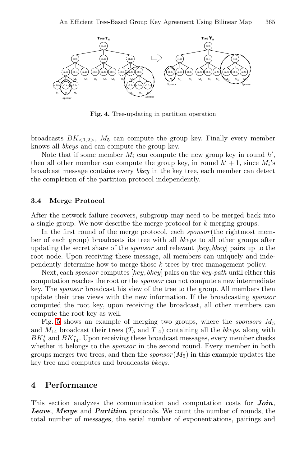<span id="page-8-0"></span>

**Fig. 4.** Tree-updating in partition operation

broadcasts  $BK_{\leq 1.2>}$ ,  $M_5$  can compute the group key. Finally every member knows all *bkeys* and can compute the group key.

Note that if some member  $M_i$  can compute the new group key in round  $h'$ ,  $h_i$  and  $h_i$  in round  $h' + 1$  since  $M_i$ . then all other member can compute the group key, in round  $h' + 1$ , since  $M_i$ 's broadcast message contains every *bkey* in the key tree, each member can detect the completion of the partition protocol independently.

#### **3.4 Merge Protocol**

After the network failure recovers, subgroup may need to be merged back into a single group. We now describe the merge protocol for k merging groups.

In the first round of the merge protocol, each *sponsor* (the rightmost member of each group) broadcasts its tree with all *bkeys* to all other groups after updating the secret share of the *sponsor* and relevant [key, bkey] pairs up to the root node. Upon receiving these message, all members can uniquely and independently determine how to merge those  $k$  trees by tree management policy.

Next, each *sponsor* computes [key, bkey] pairs on the *key-path* until either this computation reaches the root or the *sponsor* can not compute a new intermediate key. The *sponsor* broadcast his view of the tree to the group. All members then update their tree views with the new information. If the broadcasting *sponsor* computed the root key, upon receiving the broadcast, all other members can compute the root key as well.

Fig. [5](#page-10-0) shows an example of merging two groups, where the *sponsors*  $M_5$ and  $M_{14}$  broadcast their trees  $(T_5 \text{ and } T_{14})$  containing all the *bkeys*, along with  $BK_5^*$  and  $BK_{14}^*$ . Upon receiving these broadcast messages, every member checks whether it belongs to the spansar in the second round. Every member in both whether it belongs to the *sponsor* in the second round. Every member in both groups merges two trees, and then the  $\textit{sponsor}(M_5)$  in this example updates the key tree and computes and broadcasts *bkeys*.

#### **4 Performance**

This section analyzes the communication and computation costs for *Join*, *Leave*, *Merge* and *Partition* protocols. We count the number of rounds, the total number of messages, the serial number of exponentiations, pairings and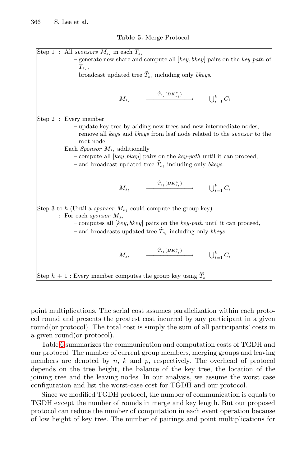#### **Table 5.** Merge Protocol

Step 1 : All sponsors  $M_{s_i}$  in each  $T_{s_i}$ – generate new share and compute all  $[key, bkey]$  pairs on the key-path of  $T_s$ – broadcast updated tree  $\widehat{T}_{s_i}$  including only bkeys.  $M_{s_i}$  $\xrightarrow{\widehat{T}_{s_i}(BK^*_{s_i})} \qquad \qquad \bigcup_{i=1}^k C_i$ Step 2 : Every member – update key tree by adding new trees and new intermediate nodes, – remove all keys and bkeys from leaf node related to the sponsor to the root node. Each Sponsor  $M_{s_t}$  additionally – compute all  $[key, bkey]$  pairs on the  $key-path$  until it can proceed, – and broadcast updated tree  $\hat{T}_{s_t}$  including only bkeys.  $M_{s_t}$  $\xrightarrow{\widehat{T}_{s_t}(BK^*_{s_t})} \qquad \qquad \bigcup_{i=1}^k C_i$ Step 3 to h (Until a sponsor  $M_{s_j}$  could compute the group key) : For each sponsor  $M_{s_t}$ – computes all  $[key, bkey]$  pairs on the key-path until it can proceed, – and broadcasts updated tree  $T_{s_t}$  including only *bkeys*.  $M_{s_t}$  $\xrightarrow{\widehat{T}_{s_t}(BK^*_{s_t})} \qquad \qquad \bigcup_{i=1}^k C_i$ Step  $h + 1$ : Every member computes the group key using  $T_s$ 

point multiplications. The serial cost assumes parallelization within each protocol round and presents the greatest cost incurred by any participant in a given round(or protocol). The total cost is simply the sum of all participants' costs in a given round(or protocol).

Table [6](#page-10-0) summarizes the communication and computation costs of TGDH and our protocol. The number of current group members, merging groups and leaving members are denoted by  $n, k$  and  $p$ , respectively. The overhead of protocol depends on the tree height, the balance of the key tree, the location of the joining tree and the leaving nodes. In our analysis, we assume the worst case configuration and list the worst-case cost for TGDH and our protocol.

Since we modified TGDH protocol, the number of communication is equals to TGDH except the number of rounds in merge and key length. But our proposed protocol can reduce the number of computation in each event operation because of low height of key tree. The number of pairings and point multiplications for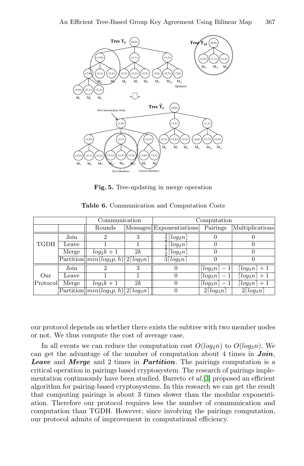<span id="page-10-0"></span>

**Fig. 5.** Tree-updating in merge operation

|       |               | Communication |                                                                                                                                                          | Computation                       |                               |  |
|-------|---------------|---------------|----------------------------------------------------------------------------------------------------------------------------------------------------------|-----------------------------------|-------------------------------|--|
|       | Rounds        |               |                                                                                                                                                          | Pairings                          | Multiplications               |  |
| Join  | 2             | 3             | $rac{3}{2}$<br>$\lceil log_2 n \rceil$                                                                                                                   |                                   |                               |  |
| Leave |               |               |                                                                                                                                                          |                                   |                               |  |
| Merge | $log_2 k + 1$ | 2k            | $rac{3}{2}$ $\lfloor log_2 n \rfloor$                                                                                                                    |                                   |                               |  |
|       |               |               | $3\lceil log_2 n \rceil$                                                                                                                                 |                                   |                               |  |
| Join  | 2             | 3             | $\theta$                                                                                                                                                 | $\lfloor log_3 n \rfloor$         | $\lceil log_3 n \rceil + 1$   |  |
| Leave |               |               | 0                                                                                                                                                        | $\lfloor log_3 n \rfloor$         | $\lfloor log_3 n \rfloor + 1$ |  |
| Merge | $log_3k+1$    | 2k            | 0                                                                                                                                                        | $\lfloor log_3 n \rfloor -$       | $\lceil log_3 n \rceil + 1$   |  |
|       |               |               | 0                                                                                                                                                        | $2\lceil log_3 n \rceil$          | $2\lceil log_3 n \rceil$      |  |
|       |               |               | $\overline{\text{Partition}}[min(log_2p, h)]$ 2[log <sub>2</sub> n]<br>$\overline{\text{Partition}}    \overline{min(log_3p}, h)    2 \overline{log_3n}$ | $rac{3}{2} \lceil log_2 n \rceil$ | Messages Exponentiations      |  |

**Table 6.** Communication and Computation Costs

our protocol depends on whether there exists the subtree with two member nodes or not. We thus compute the cost of average case.

In all events we can reduce the computation cost  $O(log_2n)$  to  $O(log_3n)$ . We can get the advantage of the number of computation about 4 times in *Join*, *Leave* and *Merge* and 2 times in *Partition*. The pairings computation is a critical operation in pairings based cryptosystem. The research of pairings implementation continuously have been studied. Barreto *et al.*[\[3\]](#page-11-0) proposed an efficient algorithm for pairing-based cryptosystems. In this research we can get the result that computing pairings is about 3 times slower than the modular exponentiation. Therefore our protocol requires less the number of communication and computation than TGDH. However, since involving the pairings computation, our protocol admits of improvement in computational efficiency.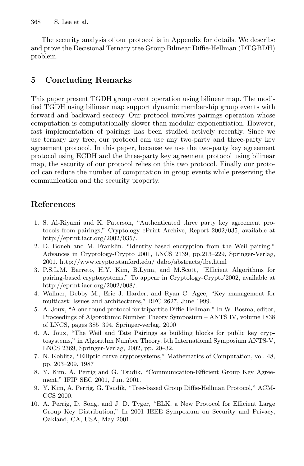<span id="page-11-0"></span>The security analysis of our protocol is in Appendix for details. We describe and prove the Decisional Ternary tree Group Bilinear Diffie-Hellman (DTGBDH) problem.

### **5 Concluding Remarks**

This paper present TGDH group event operation using bilinear map. The modified TGDH using bilinear map support dynamic membership group events with forward and backward secrecy. Our protocol involves pairings operation whose computation is computationally slower than modular exponentiation. However, fast implementation of pairings has been studied actively recently. Since we use ternary key tree, our protocol can use any two-party and three-party key agreement protocol. In this paper, because we use the two-party key agreement protocol using ECDH and the three-party key agreement protocol using bilinear map, the security of our protocol relies on this two protocol. Finally our protocol can reduce the number of computation in group events while preserving the communication and the security property.

## **References**

- 1. S. Al-Riyami and K. Paterson, "Authenticated three party key agreement protocols from pairings," Cryptology ePrint Archive, Report 2002/035, available at http://eprint.iacr.org/2002/035/.
- 2. D. Boneh and M. Franklin. "Identity-based encryption from the Weil pairing," Advances in Cryptology-Crypto 2001, LNCS 2139, pp.213–229, Springer-Verlag, 2001. http://www.crypto.stanford.edu/ dabo/abstracts/ibe.html
- 3. P.S.L.M. Barreto, H.Y. Kim, B.Lynn, and M.Scott, "Efficient Algorithms for pairing-based cryptosystems," To appear in Cryptology-Crypto'2002, available at http://eprint.iacr.org/2002/008/.
- 4. Wallner, Debby M., Eric J. Harder, and Ryan C. Agee, "Key management for multicast: Issues and architectures," RFC 2627, June 1999.
- 5. A. Joux, "A one round protocol for tripartite Diffie-Hellman," In W. Bosma, editor, Proceedings of Algorothmic Number Theory Symposium – ANTS IV, volume 1838 of LNCS, pages 385–394. Springer-verlag, 2000
- 6. A. Joux, "The Weil and Tate Pairings as building blocks for public key cryptosystems," in Algorithm Number Theory, 5th International Symposium ANTS-V, LNCS 2369, Springer-Verlag, 2002, pp. 20–32.
- 7. N. Koblitz, "Elliptic curve cryptosystems," Mathematics of Computation, vol. 48, pp. 203–209, 1987
- 8. Y. Kim. A. Perrig and G. Tsudik, "Communication-Efficient Group Key Agreement," IFIP SEC 2001, Jun. 2001.
- 9. Y. Kim, A. Perrig, G. Tsudik, "Tree-based Group Diffie-Hellman Protocol," ACM-CCS 2000.
- 10. A. Perrig, D. Song, and J. D. Tyger, "ELK, a New Protocol for Efficient Large Group Key Distribution," In 2001 IEEE Symposium on Security and Privacy, Oakland, CA, USA, May 2001.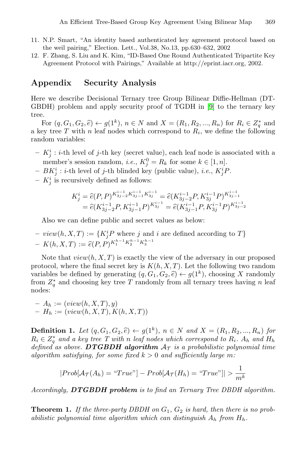- 11. N.P. Smart, "An identity based authenticated key agreement protocol based on the weil pairing," Election. Lett., Vol.38, No.13, pp.630–632, 2002
- 12. F. Zhang, S. Liu and K. Kim, "ID-Based One Round Authenticated Tripartite Key Agreement Protocol with Pairings," Available at http://eprint.iacr.org, 2002.

#### **Appendix Security Analysis**

Here we describe Decisional Ternary tree Group Bilinear Diffie-Hellman (DT-GBDH) problem and apply security proof of TGDH in [\[9\]](#page-11-0) to the ternary key tree.

For  $(q, G_1, G_2, \hat{e}) \leftarrow g(1^k)$ ,  $n \in N$  and  $X = (R_1, R_2, ..., R_n)$  for  $R_i \in Z_q^*$  and  $\infty$  tree T with n leaf nodes which correspond to  $R_i$ , we define the following a key tree T with n leaf nodes which correspond to  $R_i$ , we define the following random variables:

- $K_j^i : i$ -th level of j-th key (secret value), each leaf node is associated with a mapping secret product  $K^0 = B$  for same  $h \in [1, n]$ member's session random, *i.e.*,  $K_0^0 = R_k$  for some  $k \in [1, n]$ .<br> $B K^i \cdot i$  th lavel of *i* th blinded level (public value) *i.e.*  $K^i I$
- $BK_j^i : i$ -th level of j-th blinded key (public value), *i.e.*,  $K_j^i P$ .
- $K_j^i$  is recursively defined as follows:

$$
K_j^i = \hat{e}(P, P)^{K_{3j-2}^{i-1} K_{3j-1}^{i-1} K_{3j}^{i-1}} = \hat{e}(K_{3j-2}^{i-1} P, K_{3j}^{i-1} P)^{K_{3j-1}^{i-1}}
$$
  
=  $\hat{e}(K_{3j-2}^{i-1} P, K_{3j-1}^{i-1} P)^{K_{3j}^{i-1}} = \hat{e}(K_{3j-1}^{i-1} P, K_{3j}^{i-1} P)^{K_{3j-2}^{i-1}}$ 

Also we can define public and secret values as below:

 $-$  *view*( $h, X, T$ )  $:= \{K_j^i P$  where j and i are defined according to T}  $- K(h, X, T) := \hat{e}(P, P)^{K_1^{h-1} K_2^{h-1} K_3^{h-1}}$ 

Note that  $view(h, X, T)$  is exactly the view of the adversary in our proposed protocol, where the final secret key is  $K(h, X, T)$ . Let the following two random variables be defined by generating  $(q, G_1, G_2, \hat{e}) \leftarrow g(1^k)$ , choosing X randomly from  $Z_q^*$  and choosing key tree T randomly from all ternary trees having n leaf nodes. nodes:

$$
- A_h := (view(h, X, T), y)
$$
  

$$
- H_h := (view(h, X, T), K(h, X, T))
$$

**Definition 1.** *Let*  $(q, G_1, G_2, \hat{e}) \leftarrow g(1^k)$ *,*  $n \in N$  *and*  $X = (R_1, R_2, ..., R_n)$  *for*  $R_i \in Z_q^*$  and a key tree T with n *leaf nodes which correspond to*  $R_i$ *. A<sub>h</sub> and*  $H_h$ <br>defined as above **DTGBDH** algorithm  $A_{\tau}$  is a probabilistic polynomial time *defined as above.* **DTGBDH** algorithm  $A<sub>T</sub>$  *is a probabilistic polynomial time algorithm satisfying, for some fixed*  $k > 0$  *and sufficiently large* m:

$$
|Prob[\mathcal{A}_{\mathcal{T}}(A_h) = "True"] - Prob[\mathcal{A}_{\mathcal{T}}(H_h) = "True"]| > \frac{1}{m^k}
$$

*Accordingly, DTGBDH problem is to find an Ternary Tree DBDH algorithm.*

**Theorem 1.** If the three-party DBDH on  $G_1$ ,  $G_2$  is hard, then there is no prob*abilistic polynomial time algorithm which can distinguish* <sup>A</sup><sup>h</sup> *from* <sup>H</sup><sup>h</sup>*.*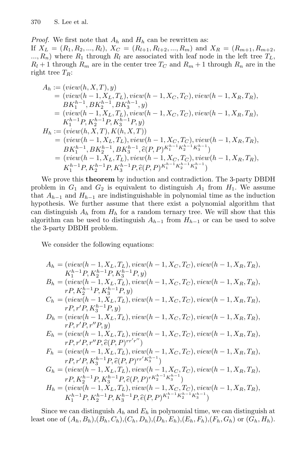<span id="page-13-0"></span>*Proof.* We first note that  $A_h$  and  $H_h$  can be rewritten as:

If  $X_L = (R_1, R_2, ..., R_l), X_C = (R_{l+1}, R_{l+2}, ..., R_m)$  and  $X_R = (R_{m+1}, R_{m+2},$  $..., R_n$ ) where  $R_1$  through  $R_l$  are associated with leaf node in the left tree  $T_L$ ,  $R_l + 1$  through  $R_m$  are in the center tree  $T_C$  and  $R_m + 1$  through  $R_n$  are in the right tree  $T_R$ :

$$
A_h := (view(h, X, T), y)
$$
  
\n
$$
= (view(h - 1, X_L, T_L), view(h - 1, X_C, T_C), view(h - 1, X_R, T_R),
$$
  
\n
$$
BK_1^{h-1}, BK_2^{h-1}, BK_3^{h-1}, y)
$$
  
\n
$$
= (view(h - 1, X_L, T_L), view(h - 1, X_C, T_C), view(h - 1, X_R, T_R),
$$
  
\n
$$
K_1^{h-1}P, K_2^{h-1}P, K_3^{h-1}P, y)
$$
  
\n
$$
H_h := (view(h, X, T), K(h, X, T))
$$
  
\n
$$
= (view(h - 1, X_L, T_L), view(h - 1, X_C, T_C), view(h - 1, X_R, T_R),
$$
  
\n
$$
BK_1^{h-1}, BK_2^{h-1}, BK_3^{h-1}, \hat{e}(P, P)^{K_1^{h-1}K_2^{h-1}K_3^{h-1}})
$$
  
\n
$$
= (view(h - 1, X_L, T_L), view(h - 1, X_C, T_C), view(h - 1, X_R, T_R),
$$
  
\n
$$
K_1^{h-1}P, K_2^{h-1}P, K_3^{h-1}P, \hat{e}(P, P)^{K_1^{h-1}K_2^{h-1}K_3^{h-1}}
$$

We prove this **theorem** by induction and contradiction. The 3-party DBDH problem in  $G_1$  and  $G_2$  is equivalent to distinguish  $A_1$  from  $H_1$ . We assume that  $A_{h-1}$  and  $H_{h-1}$  are indistinguishable in polynomial time as the induction hypothesis. We further assume that there exist a polynomial algorithm that can distinguish  $A_h$  from  $H_h$  for a random ternary tree. We will show that this algorithm can be used to distinguish  $A_{h-1}$  from  $H_{h-1}$  or can be used to solve the 3-party DBDH problem.

We consider the following equations:

$$
A_h = (view(h - 1, X_L, T_L), view(h - 1, X_C, T_C), view(h - 1, X_R, T_R),\nK_1^{h-1}P, K_2^{h-1}P, K_3^{h-1}P, y)\nB_h = (view(h - 1, X_L, T_L), view(h - 1, X_C, T_C), view(h - 1, X_R, T_R),\nrP, K_2^{h-1}P, K_3^{h-1}P, y)\nC_h = (view(h - 1, X_L, T_L), view(h - 1, X_C, T_C), view(h - 1, X_R, T_R),\nrP, r'P, K_3^{h-1}P, y)\nD_h = (view(h - 1, X_L, T_L), view(h - 1, X_C, T_C), view(h - 1, X_R, T_R),\nrP, r'P, r''P, y)\nE_h = (view(h - 1, X_L, T_L), view(h - 1, X_C, T_C), view(h - 1, X_R, T_R),\nrP, r'P, r''P, \hat{e}(P, P)^{rr'r''})\nF_h = (view(h - 1, X_L, T_L), view(h - 1, X_C, T_C), view(h - 1, X_R, T_R),\nrP, r'P, K_3^{h-1}P, \hat{e}(P, P)^{rr'K_3^{h-1}})\nG_h = (view(h - 1, X_L, T_L), view(h - 1, X_C, T_C), view(h - 1, X_R, T_R),\nrP, K_2^{h-1}P, K_3^{h-1}P, \hat{e}(P, P)^{rk_2^{h-1}K_3^{h-1}})\nH_h = (view(h - 1, X_L, T_L), view(h - 1, X_C, T_C), view(h - 1, X_R, T_R),\nK_1^{h-1}P, K_2^{h-1}P, K_3^{h-1}P, \hat{e}(P, P)^{K_1^{h-1}K_2^{h-1}K_3^{h-1}})\nH_1^{h-1}P, K_2^{h-1}P, K_3^{h-1}P, \hat{e}(P, P)^{K_1^{h-1}K_2^{h-1}K_3^{h-1}})
$$

Since we can distinguish  $A_h$  and  $E_h$  in polynomial time, we can distinguish at least one of  $(A_h, B_h), (B_h, C_h), (C_h, D_h), (D_h, E_h), (E_h, F_h), (F_h, G_h)$  or  $(G_h, H_h)$ .